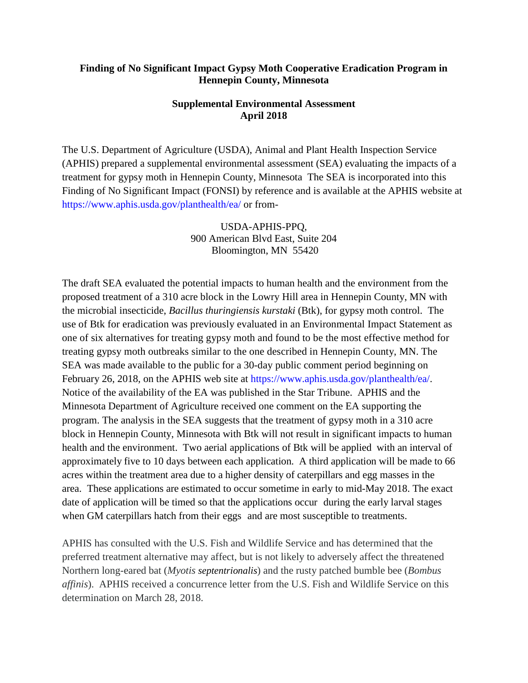## **Finding of No Significant Impact Gypsy Moth Cooperative Eradication Program in Hennepin County, Minnesota**

## **Supplemental Environmental Assessment April 2018**

The U.S. Department of Agriculture (USDA), Animal and Plant Health Inspection Service (APHIS) prepared a supplemental environmental assessment (SEA) evaluating the impacts of a treatment for gypsy moth in Hennepin County, Minnesota The SEA is incorporated into this Finding of No Significant Impact (FONSI) by reference and is available at the APHIS website at https://www.aphis.usda.gov/planthealth/ea/ or from-

> USDA-APHIS-PPQ, 900 American Blvd East, Suite 204 Bloomington, MN 55420

The draft SEA evaluated the potential impacts to human health and the environment from the proposed treatment of a 310 acre block in the Lowry Hill area in Hennepin County, MN with the microbial insecticide, *Bacillus thuringiensis kurstaki* (Btk), for gypsy moth control. The use of Btk for eradication was previously evaluated in an Environmental Impact Statement as one of six alternatives for treating gypsy moth and found to be the most effective method for treating gypsy moth outbreaks similar to the one described in Hennepin County, MN. The SEA was made available to the public for a 30-day public comment period beginning on February 26, 2018, on the APHIS web site at https://www.aphis.usda.gov/planthealth/ea/. Notice of the availability of the EA was published in the Star Tribune. APHIS and the Minnesota Department of Agriculture received one comment on the EA supporting the program. The analysis in the SEA suggests that the treatment of gypsy moth in a 310 acre block in Hennepin County, Minnesota with Btk will not result in significant impacts to human health and the environment. Two aerial applications of Btk will be applied with an interval of approximately five to 10 days between each application. A third application will be made to 66 acres within the treatment area due to a higher density of caterpillars and egg masses in the area. These applications are estimated to occur sometime in early to mid-May 2018. The exact date of application will be timed so that the applications occur during the early larval stages when GM caterpillars hatch from their eggs and are most susceptible to treatments.

APHIS has consulted with the U.S. Fish and Wildlife Service and has determined that the preferred treatment alternative may affect, but is not likely to adversely affect the threatened Northern long-eared bat (*Myotis septentrionalis*) and the rusty patched bumble bee (*Bombus affinis*). APHIS received a concurrence letter from the U.S. Fish and Wildlife Service on this determination on March 28, 2018.